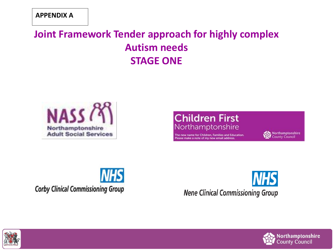### **Joint Framework Tender approach for highly complex Autism needs STAGE ONE**



#### **Children First** Northamptonshire

The new name for Children, Families and Education. Please make a note of my new email address.





**Corby Clinical Commissioning Group** 



**Nene Clinical Commissioning Group** 



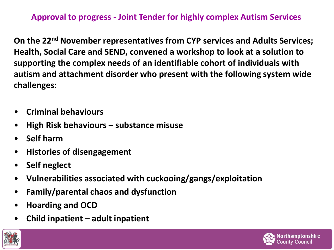**Approval to progress - Joint Tender for highly complex Autism Services**

**On the 22nd November representatives from CYP services and Adults Services; Health, Social Care and SEND, convened a workshop to look at a solution to supporting the complex needs of an identifiable cohort of individuals with autism and attachment disorder who present with the following system wide challenges:** 

- **Criminal behaviours**
- **High Risk behaviours – substance misuse**
- **Self harm**
- **Histories of disengagement**
- **Self neglect**
- **Vulnerabilities associated with cuckooing/gangs/exploitation**
- **Family/parental chaos and dysfunction**
- **Hoarding and OCD**
- **Child inpatient – adult inpatient**



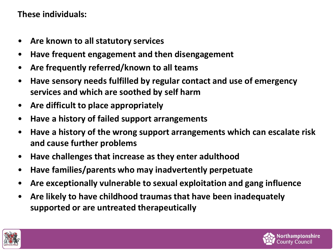#### **These individuals:**

- **Are known to all statutory services**
- **Have frequent engagement and then disengagement**
- **Are frequently referred/known to all teams**
- **Have sensory needs fulfilled by regular contact and use of emergency services and which are soothed by self harm**
- **Are difficult to place appropriately**
- **Have a history of failed support arrangements**
- **Have a history of the wrong support arrangements which can escalate risk and cause further problems**
- **Have challenges that increase as they enter adulthood**
- **Have families/parents who may inadvertently perpetuate**
- **Are exceptionally vulnerable to sexual exploitation and gang influence**
- **Are likely to have childhood traumas that have been inadequately supported or are untreated therapeutically**



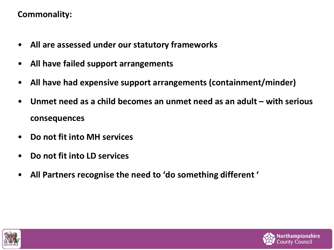#### **Commonality:**

- **All are assessed under our statutory frameworks**
- **All have failed support arrangements**
- **All have had expensive support arrangements (containment/minder)**
- **Unmet need as a child becomes an unmet need as an adult – with serious consequences**
- **Do not fit into MH services**
- **Do not fit into LD services**
- **All Partners recognise the need to 'do something different '**



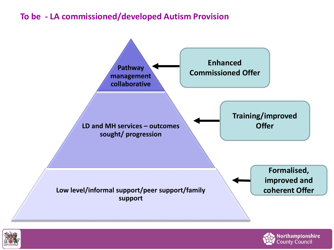#### **To be - LA commissioned/developed Autism Provision**





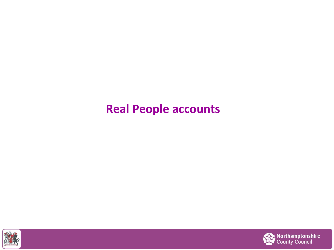## **Real People accounts**



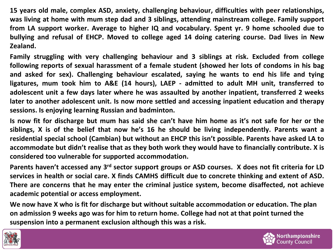**15 years old male, complex ASD, anxiety, challenging behaviour, difficulties with peer relationships, was living at home with mum step dad and 3 siblings, attending mainstream college. Family support from LA support worker. Average to higher IQ and vocabulary. Spent yr. 9 home schooled due to bullying and refusal of EHCP. Moved to college aged 14 doing catering course. Dad lives in New Zealand.**

**Family struggling with very challenging behaviour and 3 siblings at risk. Excluded from college following reports of sexual harassment of a female student (showed her lots of condoms in his bag and asked for sex). Challenging behaviour escalated, saying he wants to end his life and tying ligatures, mum took him to A&E (14 hours), LAEP - admitted to adult MH unit, transferred to adolescent unit a few days later where he was assaulted by another inpatient, transferred 2 weeks later to another adolescent unit. Is now more settled and accessing inpatient education and therapy sessions. Is enjoying learning Russian and badminton.**

Is now fit for discharge but mum has said she can't have him home as it's not safe for her or the **siblings, X is of the belief that now he's 16 he should be living independently. Parents want a residential special school (Cambian) but without an EHCP this isn't possible. Parents have asked LA to accommodate but didn't realise that as they both work they would have to financially contribute. X is considered too vulnerable for supported accommodation.**

Parents haven't accessed any 3<sup>rd</sup> sector support groups or ASD courses. X does not fit criteria for LD services in health or social care. X finds CAMHS difficult due to concrete thinking and extent of ASD. **There are concerns that he may enter the criminal justice system, become disaffected, not achieve academic potential or access employment.**

**We now have X who is fit for discharge but without suitable accommodation or education. The plan on admission 9 weeks ago was for him to return home. College had not at that point turned the suspension into a permanent exclusion although this was a risk.**



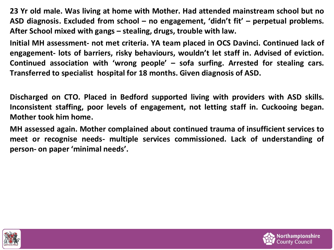**23 Yr old male. Was living at home with Mother. Had attended mainstream school but no ASD diagnosis. Excluded from school – no engagement, 'didn't fit' – perpetual problems. After School mixed with gangs – stealing, drugs, trouble with law.**

**Initial MH assessment- not met criteria. YA team placed in OCS Davinci. Continued lack of engagement- lots of barriers, risky behaviours, wouldn't let staff in. Advised of eviction. Continued association with 'wrong people' – sofa surfing. Arrested for stealing cars. Transferred to specialist hospital for 18 months. Given diagnosis of ASD.**

**Discharged on CTO. Placed in Bedford supported living with providers with ASD skills. Inconsistent staffing, poor levels of engagement, not letting staff in. Cuckooing began. Mother took him home.**

**MH assessed again. Mother complained about continued trauma of insufficient services to meet or recognise needs- multiple services commissioned. Lack of understanding of person- on paper 'minimal needs'.**



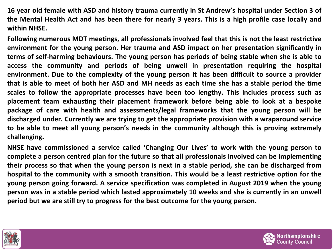16 year old female with ASD and history trauma currently in St Andrew's hospital under Section 3 of the Mental Health Act and has been there for nearly 3 years. This is a high profile case locally and **within NHSE.**

**Following numerous MDT meetings, all professionals involved feel that this is not the least restrictive environment for the young person. Her trauma and ASD impact on her presentation significantly in terms of self-harming behaviours. The young person has periods of being stable when she is able to access the community and periods of being unwell in presentation requiring the hospital environment. Due to the complexity of the young person it has been difficult to source a provider** that is able to meet of both her ASD and MH needs as each time she has a stable period the time **scales to follow the appropriate processes have been too lengthy. This includes process such as placement team exhausting their placement framework before being able to look at a bespoke package of care with health and assessments/legal frameworks that the young person will be discharged under. Currently we are trying to get the appropriate provision with a wraparound service to be able to meet all young person's needs in the community although this is proving extremely challenging.**

**NHSE have commissioned a service called 'Changing Our Lives' to work with the young person to complete a person centred plan for the future so that all professionals involved can be implementing** their process so that when the young person is next in a stable period, she can be discharged from **hospital to the community with a smooth transition. This would be a least restrictive option for the young person going forward. A service specification was completed in August 2019 when the young** person was in a stable period which lasted approximately 10 weeks and she is currently in an unwell **period but we are still try to progress for the best outcome for the young person.**



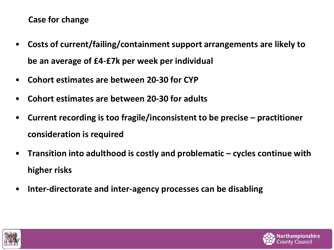#### **Case for change**

- **Costs of current/failing/containment support arrangements are likely to be an average of £4-£7k per week per individual**
- **Cohort estimates are between 20-30 for CYP**
- **Cohort estimates are between 20-30 for adults**
- **Current recording is too fragile/inconsistent to be precise – practitioner consideration is required**
- **Transition into adulthood is costly and problematic – cycles continue with higher risks**
- **Inter-directorate and inter-agency processes can be disabling**



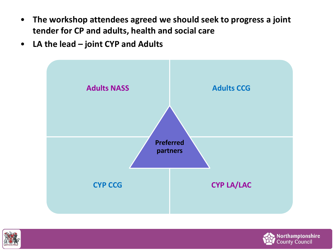- **The workshop attendees agreed we should seek to progress a joint tender for CP and adults, health and social care**
- **LA the lead – joint CYP and Adults**





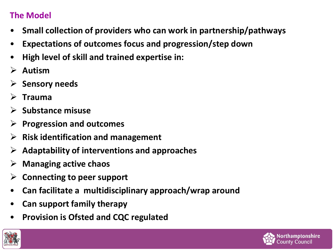#### **The Model**

- **Small collection of providers who can work in partnership/pathways**
- **Expectations of outcomes focus and progression/step down**
- **High level of skill and trained expertise in:**
- **Autism**
- **Sensory needs**
- **Trauma**
- **Substance misuse**
- **Progression and outcomes**
- **Risk identification and management**
- **Adaptability of interventions and approaches**
- **Managing active chaos**
- **Connecting to peer support**
- **Can facilitate a multidisciplinary approach/wrap around**
- **Can support family therapy**
- **Provision is Ofsted and CQC regulated**



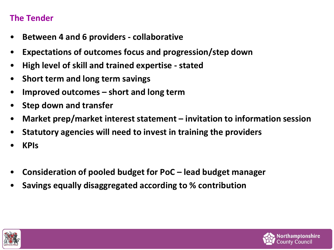#### **The Tender**

- **Between 4 and 6 providers - collaborative**
- **Expectations of outcomes focus and progression/step down**
- **High level of skill and trained expertise - stated**
- **Short term and long term savings**
- **Improved outcomes – short and long term**
- **Step down and transfer**
- **Market prep/market interest statement – invitation to information session**
- **Statutory agencies will need to invest in training the providers**
- **KPIs**
- **Consideration of pooled budget for PoC – lead budget manager**
- **Savings equally disaggregated according to % contribution**



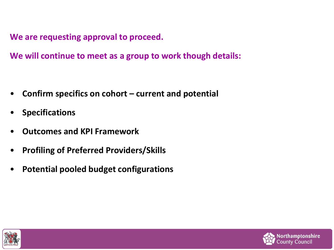**We are requesting approval to proceed.** 

**We will continue to meet as a group to work though details:**

- **Confirm specifics on cohort – current and potential**
- **Specifications**
- **Outcomes and KPI Framework**
- **Profiling of Preferred Providers/Skills**
- **Potential pooled budget configurations**



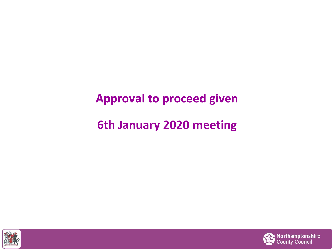## **Approval to proceed given**

## **6th January 2020 meeting**



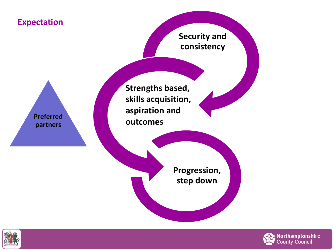



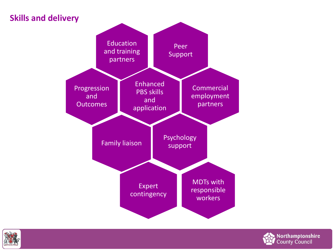#### **Skills and delivery**





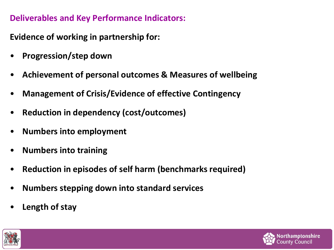#### **Deliverables and Key Performance Indicators:**

**Evidence of working in partnership for:**

- **Progression/step down**
- **Achievement of personal outcomes & Measures of wellbeing**
- **Management of Crisis/Evidence of effective Contingency**
- **Reduction in dependency (cost/outcomes)**
- **Numbers into employment**
- **Numbers into training**
- **Reduction in episodes of self harm (benchmarks required)**
- **Numbers stepping down into standard services**
- **Length of stay**



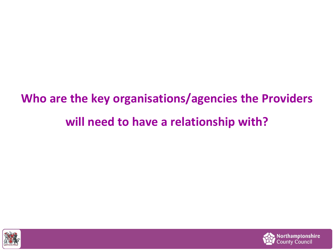# **Who are the key organisations/agencies the Providers will need to have a relationship with?**



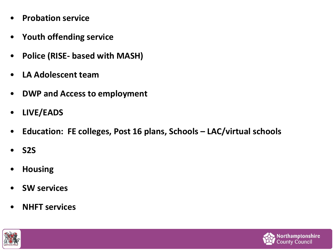- **Probation service**
- **Youth offending service**
- **Police (RISE- based with MASH)**
- **LA Adolescent team**
- **DWP and Access to employment**
- **LIVE/EADS**
- **Education: FE colleges, Post 16 plans, Schools – LAC/virtual schools**
- **S2S**
- **Housing**
- **SW services**
- **NHFT services**